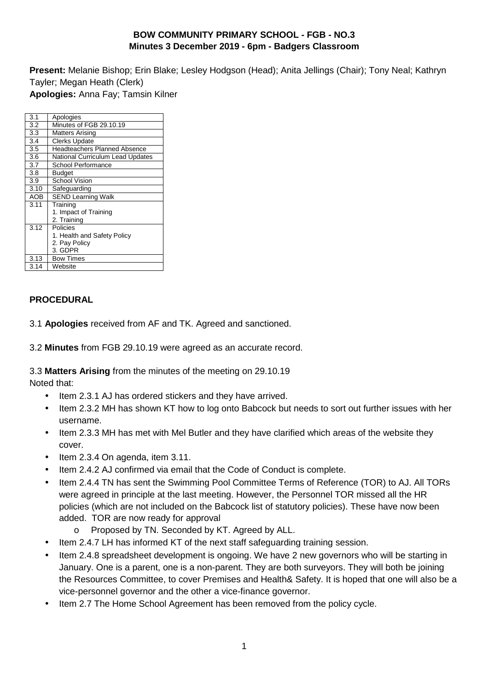## **BOW COMMUNITY PRIMARY SCHOOL - FGB - NO.3 Minutes 3 December 2019 - 6pm - Badgers Classroom**

**Present:** Melanie Bishop; Erin Blake; Lesley Hodgson (Head); Anita Jellings (Chair); Tony Neal; Kathryn Tayler; Megan Heath (Clerk) **Apologies:** Anna Fay; Tamsin Kilner

| 3.1        | Apologies                           |
|------------|-------------------------------------|
| 3.2        | Minutes of FGB 29.10.19             |
| 3.3        | <b>Matters Arising</b>              |
| 3.4        | <b>Clerks Update</b>                |
| 3.5        | <b>Headteachers Planned Absence</b> |
| 3.6        | National Curriculum Lead Updates    |
| 3.7        | School Performance                  |
| 3.8        | Budget                              |
| 3.9        | <b>School Vision</b>                |
| 3.10       | Safeguarding                        |
| <b>AOB</b> | <b>SEND Learning Walk</b>           |
| 3.11       | Training                            |
|            | 1. Impact of Training               |
|            | 2. Training                         |
| 3.12       | Policies                            |
|            | 1. Health and Safety Policy         |
|            | 2. Pay Policy                       |
|            | 3. GDPR                             |
| 3.13       | <b>Bow Times</b>                    |
| 3.14       | Website                             |
|            |                                     |

## **PROCEDURAL**

3.1 **Apologies** received from AF and TK. Agreed and sanctioned.

3.2 **Minutes** from FGB 29.10.19 were agreed as an accurate record.

3.3 **Matters Arising** from the minutes of the meeting on 29.10.19 Noted that:

- Item 2.3.1 AJ has ordered stickers and they have arrived.
- Item 2.3.2 MH has shown KT how to log onto Babcock but needs to sort out further issues with her username.
- Item 2.3.3 MH has met with Mel Butler and they have clarified which areas of the website they cover.
- Item 2.3.4 On agenda, item 3.11.
- Item 2.4.2 AJ confirmed via email that the Code of Conduct is complete.
- Item 2.4.4 TN has sent the Swimming Pool Committee Terms of Reference (TOR) to AJ. All TORs were agreed in principle at the last meeting. However, the Personnel TOR missed all the HR policies (which are not included on the Babcock list of statutory policies). These have now been added. TOR are now ready for approval
	- o Proposed by TN. Seconded by KT. Agreed by ALL.
- Item 2.4.7 LH has informed KT of the next staff safeguarding training session.
- Item 2.4.8 spreadsheet development is ongoing. We have 2 new governors who will be starting in January. One is a parent, one is a non-parent. They are both surveyors. They will both be joining the Resources Committee, to cover Premises and Health& Safety. It is hoped that one will also be a vice-personnel governor and the other a vice-finance governor.
- Item 2.7 The Home School Agreement has been removed from the policy cycle.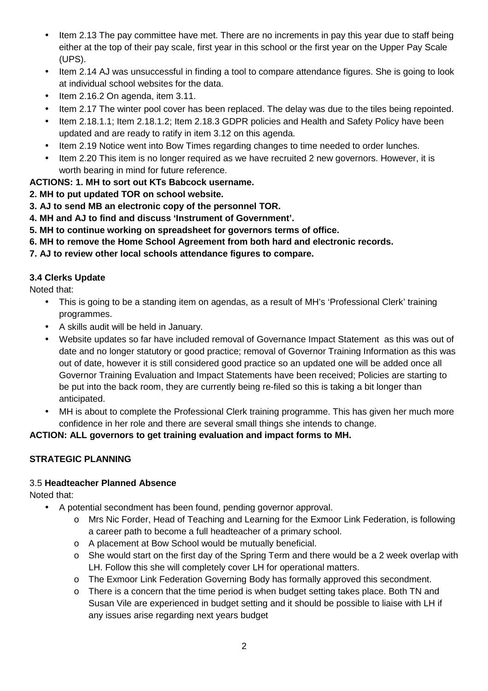- Item 2.13 The pay committee have met. There are no increments in pay this year due to staff being either at the top of their pay scale, first year in this school or the first year on the Upper Pay Scale (UPS).
- Item 2.14 AJ was unsuccessful in finding a tool to compare attendance figures. She is going to look at individual school websites for the data.
- Item 2.16.2 On agenda, item 3.11.
- Item 2.17 The winter pool cover has been replaced. The delay was due to the tiles being repointed.
- Item 2.18.1.1; Item 2.18.1.2; Item 2.18.3 GDPR policies and Health and Safety Policy have been updated and are ready to ratify in item 3.12 on this agenda.
- Item 2.19 Notice went into Bow Times regarding changes to time needed to order lunches.
- Item 2.20 This item is no longer required as we have recruited 2 new governors. However, it is worth bearing in mind for future reference.

## **ACTIONS: 1. MH to sort out KTs Babcock username.**

- **2. MH to put updated TOR on school website.**
- **3. AJ to send MB an electronic copy of the personnel TOR.**
- **4. MH and AJ to find and discuss 'Instrument of Government'.**
- **5. MH to continue working on spreadsheet for governors terms of office.**
- **6. MH to remove the Home School Agreement from both hard and electronic records.**

### **7. AJ to review other local schools attendance figures to compare.**

## **3.4 Clerks Update**

Noted that:

- This is going to be a standing item on agendas, as a result of MH's 'Professional Clerk' training programmes.
- A skills audit will be held in January.
- Website updates so far have included removal of Governance Impact Statement as this was out of date and no longer statutory or good practice; removal of Governor Training Information as this was out of date, however it is still considered good practice so an updated one will be added once all Governor Training Evaluation and Impact Statements have been received; Policies are starting to be put into the back room, they are currently being re-filed so this is taking a bit longer than anticipated.
- MH is about to complete the Professional Clerk training programme. This has given her much more confidence in her role and there are several small things she intends to change.

### **ACTION: ALL governors to get training evaluation and impact forms to MH.**

## **STRATEGIC PLANNING**

### 3.5 **Headteacher Planned Absence**

Noted that:

- A potential secondment has been found, pending governor approval.
	- o Mrs Nic Forder, Head of Teaching and Learning for the Exmoor Link Federation, is following a career path to become a full headteacher of a primary school.
	- o A placement at Bow School would be mutually beneficial.
	- $\circ$  She would start on the first day of the Spring Term and there would be a 2 week overlap with LH. Follow this she will completely cover LH for operational matters.
	- o The Exmoor Link Federation Governing Body has formally approved this secondment.
	- $\circ$  There is a concern that the time period is when budget setting takes place. Both TN and Susan Vile are experienced in budget setting and it should be possible to liaise with LH if any issues arise regarding next years budget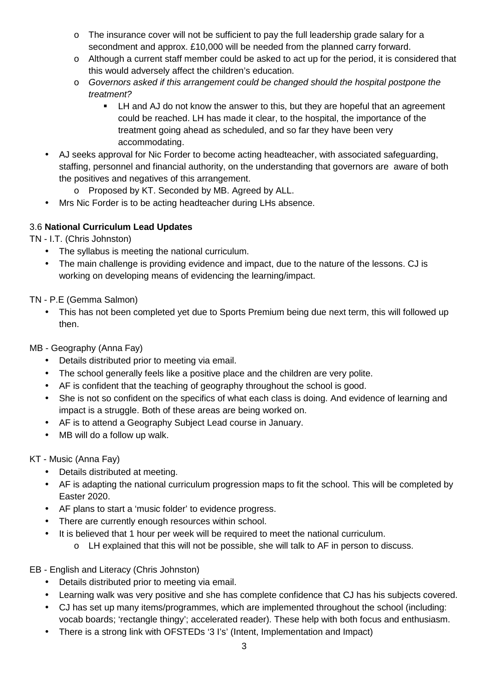- $\circ$  The insurance cover will not be sufficient to pay the full leadership grade salary for a secondment and approx. £10,000 will be needed from the planned carry forward.
- o Although a current staff member could be asked to act up for the period, it is considered that this would adversely affect the children's education.
- o Governors asked if this arrangement could be changed should the hospital postpone the treatment?
	- **LH** and AJ do not know the answer to this, but they are hopeful that an agreement could be reached. LH has made it clear, to the hospital, the importance of the treatment going ahead as scheduled, and so far they have been very accommodating.
- AJ seeks approval for Nic Forder to become acting headteacher, with associated safeguarding, staffing, personnel and financial authority, on the understanding that governors are aware of both the positives and negatives of this arrangement.
	- o Proposed by KT. Seconded by MB. Agreed by ALL.
- Mrs Nic Forder is to be acting headteacher during LHs absence.

## 3.6 **National Curriculum Lead Updates**

TN - I.T. (Chris Johnston)

- The syllabus is meeting the national curriculum.
- The main challenge is providing evidence and impact, due to the nature of the lessons. CJ is working on developing means of evidencing the learning/impact.

TN - P.E (Gemma Salmon)

• This has not been completed yet due to Sports Premium being due next term, this will followed up then.

MB - Geography (Anna Fay)

- Details distributed prior to meeting via email.
- The school generally feels like a positive place and the children are very polite.
- AF is confident that the teaching of geography throughout the school is good.
- She is not so confident on the specifics of what each class is doing. And evidence of learning and impact is a struggle. Both of these areas are being worked on.
- AF is to attend a Geography Subject Lead course in January.
- MB will do a follow up walk.

KT - Music (Anna Fay)

- Details distributed at meeting.
- AF is adapting the national curriculum progression maps to fit the school. This will be completed by Easter 2020.
- AF plans to start a 'music folder' to evidence progress.
- There are currently enough resources within school.
- It is believed that 1 hour per week will be required to meet the national curriculum.
	- o LH explained that this will not be possible, she will talk to AF in person to discuss.

EB - English and Literacy (Chris Johnston)

- Details distributed prior to meeting via email.
- Learning walk was very positive and she has complete confidence that CJ has his subjects covered.
- CJ has set up many items/programmes, which are implemented throughout the school (including: vocab boards; 'rectangle thingy'; accelerated reader). These help with both focus and enthusiasm.
- There is a strong link with OFSTEDs '3 I's' (Intent, Implementation and Impact)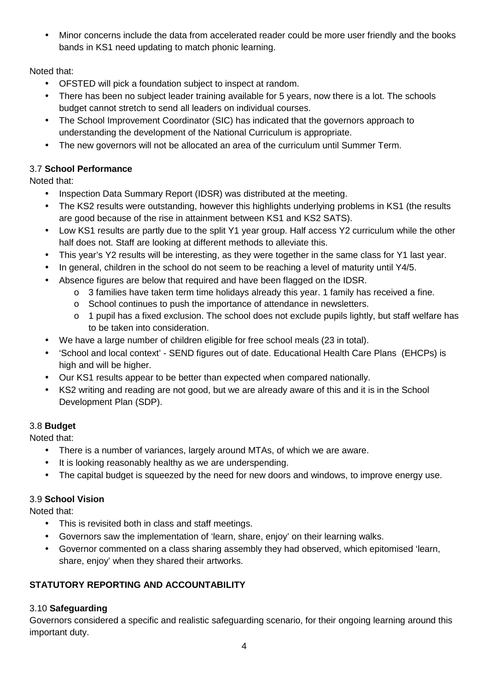• Minor concerns include the data from accelerated reader could be more user friendly and the books bands in KS1 need updating to match phonic learning.

Noted that:

- OFSTED will pick a foundation subject to inspect at random.
- There has been no subject leader training available for 5 years, now there is a lot. The schools budget cannot stretch to send all leaders on individual courses.
- The School Improvement Coordinator (SIC) has indicated that the governors approach to understanding the development of the National Curriculum is appropriate.
- The new governors will not be allocated an area of the curriculum until Summer Term.

## 3.7 **School Performance**

Noted that:

- Inspection Data Summary Report (IDSR) was distributed at the meeting.
- The KS2 results were outstanding, however this highlights underlying problems in KS1 (the results are good because of the rise in attainment between KS1 and KS2 SATS).
- Low KS1 results are partly due to the split Y1 year group. Half access Y2 curriculum while the other half does not. Staff are looking at different methods to alleviate this.
- This year's Y2 results will be interesting, as they were together in the same class for Y1 last year.
- In general, children in the school do not seem to be reaching a level of maturity until Y4/5.
- Absence figures are below that required and have been flagged on the IDSR.
	- $\circ$  3 families have taken term time holidays already this year. 1 family has received a fine.
	- o School continues to push the importance of attendance in newsletters.
	- o 1 pupil has a fixed exclusion. The school does not exclude pupils lightly, but staff welfare has to be taken into consideration.
- We have a large number of children eligible for free school meals (23 in total).
- 'School and local context' SEND figures out of date. Educational Health Care Plans (EHCPs) is high and will be higher.
- Our KS1 results appear to be better than expected when compared nationally.
- KS2 writing and reading are not good, but we are already aware of this and it is in the School Development Plan (SDP).

# 3.8 **Budget**

Noted that:

- There is a number of variances, largely around MTAs, of which we are aware.
- It is looking reasonably healthy as we are underspending.
- The capital budget is squeezed by the need for new doors and windows, to improve energy use.

# 3.9 **School Vision**

Noted that:

- This is revisited both in class and staff meetings.
- Governors saw the implementation of 'learn, share, enjoy' on their learning walks.
- Governor commented on a class sharing assembly they had observed, which epitomised 'learn, share, enjoy' when they shared their artworks.

# **STATUTORY REPORTING AND ACCOUNTABILITY**

# 3.10 **Safeguarding**

Governors considered a specific and realistic safeguarding scenario, for their ongoing learning around this important duty.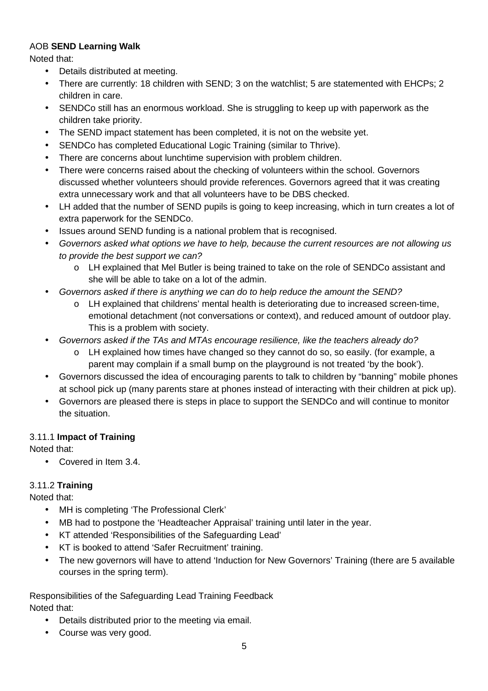## AOB **SEND Learning Walk**

Noted that:

- Details distributed at meeting.
- There are currently: 18 children with SEND; 3 on the watchlist; 5 are statemented with EHCPs; 2 children in care.
- SENDCo still has an enormous workload. She is struggling to keep up with paperwork as the children take priority.
- The SEND impact statement has been completed, it is not on the website yet.
- SENDCo has completed Educational Logic Training (similar to Thrive).
- There are concerns about lunchtime supervision with problem children.
- There were concerns raised about the checking of volunteers within the school. Governors discussed whether volunteers should provide references. Governors agreed that it was creating extra unnecessary work and that all volunteers have to be DBS checked.
- LH added that the number of SEND pupils is going to keep increasing, which in turn creates a lot of extra paperwork for the SENDCo.
- Issues around SEND funding is a national problem that is recognised.
- Governors asked what options we have to help, because the current resources are not allowing us to provide the best support we can?
	- o LH explained that Mel Butler is being trained to take on the role of SENDCo assistant and she will be able to take on a lot of the admin.
- Governors asked if there is anything we can do to help reduce the amount the SEND?
	- o LH explained that childrens' mental health is deteriorating due to increased screen-time, emotional detachment (not conversations or context), and reduced amount of outdoor play. This is a problem with society.
- Governors asked if the TAs and MTAs encourage resilience, like the teachers already do?
	- o LH explained how times have changed so they cannot do so, so easily. (for example, a parent may complain if a small bump on the playground is not treated 'by the book').
- Governors discussed the idea of encouraging parents to talk to children by "banning" mobile phones at school pick up (many parents stare at phones instead of interacting with their children at pick up).
- Governors are pleased there is steps in place to support the SENDCo and will continue to monitor the situation.

### 3.11.1 **Impact of Training**

Noted that:

• Covered in Item 3.4.

## 3.11.2 **Training**

Noted that:

- MH is completing 'The Professional Clerk'
- MB had to postpone the 'Headteacher Appraisal' training until later in the year.
- KT attended 'Responsibilities of the Safeguarding Lead'
- KT is booked to attend 'Safer Recruitment' training.
- The new governors will have to attend 'Induction for New Governors' Training (there are 5 available courses in the spring term).

Responsibilities of the Safeguarding Lead Training Feedback Noted that:

- Details distributed prior to the meeting via email.
- Course was very good.